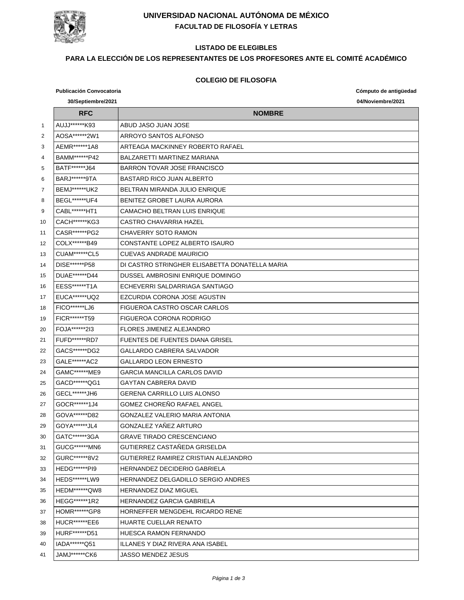

# **UNIVERSIDAD NACIONAL AUTÓNOMA DE MÉXICO FACULTAD DE FILOSOFÍA Y LETRAS**

### **LISTADO DE ELEGIBLES**

# **PARA LA ELECCIÓN DE LOS REPRESENTANTES DE LOS PROFESORES ANTE EL COMITÉ ACADÉMICO**

#### **COLEGIO DE FILOSOFIA**

|                | <b>Publicación Convocatoria</b> |                                                | Cómputo de antigüedad |
|----------------|---------------------------------|------------------------------------------------|-----------------------|
|                | 30/Septiembre/2021              |                                                | 04/Noviembre/2021     |
|                | <b>RFC</b>                      | <b>NOMBRE</b>                                  |                       |
| $\mathbf{1}$   | AUJJ******K93                   | ABUD JASO JUAN JOSE                            |                       |
| $\overline{2}$ | AOSA******2W1                   | ARROYO SANTOS ALFONSO                          |                       |
| 3              | AEMR******1A8                   | ARTEAGA MACKINNEY ROBERTO RAFAEL               |                       |
| 4              | BAMM******P42                   | BALZARETTI MARTINEZ MARIANA                    |                       |
| 5              | BATF******J64                   | BARRON TOVAR JOSE FRANCISCO                    |                       |
| 6              | BARJ *******9TA                 | <b>BASTARD RICO JUAN ALBERTO</b>               |                       |
| 7              | BEMJ ****** UK2                 | BELTRAN MIRANDA JULIO ENRIQUE                  |                       |
| 8              | BEGL*******UF4                  | BENITEZ GROBET LAURA AURORA                    |                       |
| 9              | CABL*******HT1                  | <b>CAMACHO BELTRAN LUIS ENRIQUE</b>            |                       |
| 10             | CACH******KG3                   | CASTRO CHAVARRIA HAZEL                         |                       |
| 11             | CASR******PG2                   | CHAVERRY SOTO RAMON                            |                       |
| 12             | COLX******B49                   | CONSTANTE LOPEZ ALBERTO ISAURO                 |                       |
| 13             | <b>CUAM******CL5</b>            | CUEVAS ANDRADE MAURICIO                        |                       |
| 14             | DISE*******P58                  | DI CASTRO STRINGHER ELISABETTA DONATELLA MARIA |                       |
| 15             | DUAE******D44                   | DUSSEL AMBROSINI ENRIQUE DOMINGO               |                       |
| 16             | EESS*******T1A                  | ECHEVERRI SALDARRIAGA SANTIAGO                 |                       |
| 17             | EUCA******UQ2                   | EZCURDIA CORONA JOSE AGUSTIN                   |                       |
| 18             | FICO*******LJ6                  | FIGUEROA CASTRO OSCAR CARLOS                   |                       |
| 19             | FICR*******T59                  | FIGUEROA CORONA RODRIGO                        |                       |
| 20             | FOJA******213                   | <b>FLORES JIMENEZ ALEJANDRO</b>                |                       |
| 21             | <b>FUFD******RD7</b>            | <b>FUENTES DE FUENTES DIANA GRISEL</b>         |                       |
| 22             | GACS******DG2                   | GALLARDO CABRERA SALVADOR                      |                       |
| 23             | GALE******AC2                   | <b>GALLARDO LEON ERNESTO</b>                   |                       |
| 24             | GAMC******ME9                   | <b>GARCIA MANCILLA CARLOS DAVID</b>            |                       |
| 25             | GACD******QG1                   | <b>GAYTAN CABRERA DAVID</b>                    |                       |
| 26             | GECL******JH6                   | <b>GERENA CARRILLO LUIS ALONSO</b>             |                       |
| 27             | GOCR******1J4                   | GOMEZ CHOREÑO RAFAEL ANGEL                     |                       |
| 28             | GOVA*******D82                  | GONZALEZ VALERIO MARIA ANTONIA                 |                       |
| 29             | GOYA*******JL4                  | GONZALEZ YAÑEZ ARTURO                          |                       |
| 30             | GATC*******3GA                  | <b>GRAVE TIRADO CRESCENCIANO</b>               |                       |
| 31             | GUCG******MN6                   | GUTIERREZ CASTAÑEDA GRISELDA                   |                       |
| 32             | GURC******8V2                   | GUTIERREZ RAMIREZ CRISTIAN ALEJANDRO           |                       |
| 33             | HEDG*******PI9                  | <b>HERNANDEZ DECIDERIO GABRIELA</b>            |                       |
| 34             | <b>HEDS******LW9</b>            | HERNANDEZ DELGADILLO SERGIO ANDRES             |                       |
| 35             | HEDM******QW8                   | <b>HERNANDEZ DIAZ MIGUEL</b>                   |                       |
| 36             | HEGG******1R2                   | <b>HERNANDEZ GARCIA GABRIELA</b>               |                       |
| 37             | HOMR*******GP8                  | HORNEFFER MENGDEHL RICARDO RENE                |                       |
| 38             | HUCR*******EE6                  | HUARTE CUELLAR RENATO                          |                       |
| 39             | HURF*******D51                  | HUESCA RAMON FERNANDO                          |                       |
| 40             | IADA******Q51                   | ILLANES Y DIAZ RIVERA ANA ISABEL               |                       |
| 41             | JAMJ******CK6                   | <b>JASSO MENDEZ JESUS</b>                      |                       |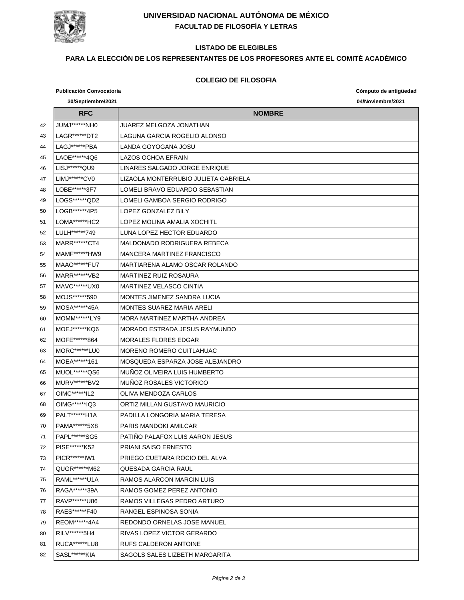

# **UNIVERSIDAD NACIONAL AUTÓNOMA DE MÉXICO FACULTAD DE FILOSOFÍA Y LETRAS**

# **LISTADO DE ELEGIBLES**

# **PARA LA ELECCIÓN DE LOS REPRESENTANTES DE LOS PROFESORES ANTE EL COMITÉ ACADÉMICO**

#### **COLEGIO DE FILOSOFIA**

|    | 30/Septiembre/2021    |                                      |                   |
|----|-----------------------|--------------------------------------|-------------------|
|    |                       |                                      | 04/Noviembre/2021 |
|    | <b>RFC</b>            | <b>NOMBRE</b>                        |                   |
| 42 | JUMJ******NH0         | JUAREZ MELGOZA JONATHAN              |                   |
| 43 | LAGR*******DT2        | LAGUNA GARCIA ROGELIO ALONSO         |                   |
| 44 | LAGJ*******PBA        | LANDA GOYOGANA JOSU                  |                   |
| 45 | LAOE******4Q6         | LAZOS OCHOA EFRAIN                   |                   |
| 46 | LISJ******QU9         | LINARES SALGADO JORGE ENRIQUE        |                   |
| 47 | LIMJ******CV0         | LIZAOLA MONTERRUBIO JULIETA GABRIELA |                   |
| 48 | LOBE******3F7         | LOMELI BRAVO EDUARDO SEBASTIAN       |                   |
| 49 | LOGS******QD2         | LOMELI GAMBOA SERGIO RODRIGO         |                   |
| 50 | LOGB******4P5         | LOPEZ GONZALEZ BILY                  |                   |
| 51 | LOMA*******HC2        | LOPEZ MOLINA AMALIA XOCHITL          |                   |
| 52 | LULH******749         | LUNA LOPEZ HECTOR EDUARDO            |                   |
| 53 | MARR*******CT4        | MALDONADO RODRIGUERA REBECA          |                   |
| 54 | MAMF******HW9         | MANCERA MARTINEZ FRANCISCO           |                   |
| 55 | <b>MAAO******FU7</b>  | MARTIARENA ALAMO OSCAR ROLANDO       |                   |
| 56 | MARR******VB2         | <b>MARTINEZ RUIZ ROSAURA</b>         |                   |
| 57 | MAVC*******UX0        | <b>MARTINEZ VELASCO CINTIA</b>       |                   |
| 58 | MOJS******590         | MONTES JIMENEZ SANDRA LUCIA          |                   |
| 59 | MOSA******45A         | <b>MONTES SUAREZ MARIA ARELI</b>     |                   |
| 60 | MOMM******LY9         | MORA MARTINEZ MARTHA ANDREA          |                   |
| 61 | MOEJ******KQ6         | MORADO ESTRADA JESUS RAYMUNDO        |                   |
| 62 | MOFE******864         | <b>MORALES FLORES EDGAR</b>          |                   |
| 63 | <b>MORC******LU0</b>  | <b>MORENO ROMERO CUITLAHUAC</b>      |                   |
| 64 | MOEA*******161        | MOSQUEDA ESPARZA JOSE ALEJANDRO      |                   |
| 65 | MUOL*******QS6        | MUNOZ OLIVEIRA LUIS HUMBERTO         |                   |
| 66 | MURV******BV2         | MUÑOZ ROSALES VICTORICO              |                   |
| 67 | OIMC*******IL2        | OLIVA MENDOZA CARLOS                 |                   |
| 68 | OIMG******IQ3         | ORTIZ MILLAN GUSTAVO MAURICIO        |                   |
| 69 | <b>PALT******H1A</b>  | PADILLA LONGORIA MARIA TERESA        |                   |
| 70 | PAMA******5X8         | PARIS MANDOKI AMILCAR                |                   |
| 71 | PAPL*******SG5        | PATINO PALAFOX LUIS AARON JESUS      |                   |
| 72 | PISE******K52         | PRIANI SAISO ERNESTO                 |                   |
| 73 | PICR******IW1         | PRIEGO CUETARA ROCIO DEL ALVA        |                   |
| 74 | QUGR******M62         | QUESADA GARCIA RAUL                  |                   |
| 75 | RAML*******U1A        | RAMOS ALARCON MARCIN LUIS            |                   |
| 76 | RAGA*******39A        | RAMOS GOMEZ PEREZ ANTONIO            |                   |
| 77 | RAVP******U86         | RAMOS VILLEGAS PEDRO ARTURO          |                   |
| 78 | RAES******F40         | RANGEL ESPINOSA SONIA                |                   |
| 79 | REOM******4A4         | REDONDO ORNELAS JOSE MANUEL          |                   |
| 80 | RILV******5H4         | RIVAS LOPEZ VICTOR GERARDO           |                   |
| 81 | <b>RUCA*******LU8</b> | RUFS CALDERON ANTOINE                |                   |
| 82 | SASL******KIA         | SAGOLS SALES LIZBETH MARGARITA       |                   |